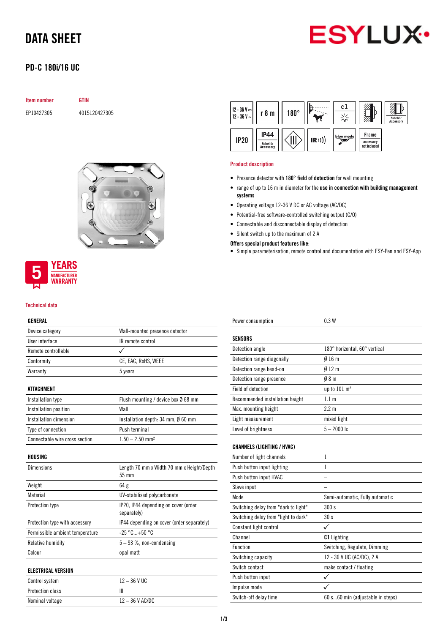# DATA SHEET



## PD-C 180i/16 UC

| Item number | GTIN          |  |
|-------------|---------------|--|
| FP10427305  | 4015120427305 |  |





### Technical data

### GENERAL

| Device category                 | Wall-mounted presence detector                          |
|---------------------------------|---------------------------------------------------------|
| <b>Ilser interface</b>          | IR remote control                                       |
| Remote controllable             |                                                         |
| Conformity                      | CE, EAC, RoHS, WEEE                                     |
| Warranty                        | 5 years                                                 |
| <b>ATTACHMENT</b>               |                                                         |
| Installation type               | Flush mounting / device box $\emptyset$ 68 mm           |
| Installation position           | Wall                                                    |
| Installation dimension          | Installation depth: $34 \text{ mm}$ , $\emptyset$ 60 mm |
| Type of connection              | Push terminal                                           |
| Connectable wire cross section  | $1.50 - 2.50$ mm <sup>2</sup>                           |
| HOUSING                         |                                                         |
| <b>Dimensions</b>               | Length 70 mm x Width 70 mm x Height/Depth<br>55 mm      |
| Weight                          | 64 g                                                    |
| Material                        | UV-stabilised polycarbonate                             |
| Protection type                 | IP20, IP44 depending on cover (order<br>separately)     |
| Protection type with accessory  | IP44 depending on cover (order separately)              |
| Permissible ambient temperature | $-25 °C+50 °C$                                          |
| Relative humidity               | $5 - 93$ %, non-condensing                              |
| Colour                          | opal matt                                               |
| <b>ELECTRICAL VERSION</b>       |                                                         |
| Control system                  | $12 - 36$ V UC                                          |
| Protection class                | Ш                                                       |
| Nominal voltage                 | 12-36 V AC/DC                                           |



#### Product description

- Presence detector with 180° field of detection for wall mounting
- range of up to 16 m in diameter for the use in connection with building management systems
- Operating voltage 12-36 V DC or AC voltage (AC/DC)
- Potential-free software-controlled switching output (C/O)
- Connectable and disconnectable display of detection
- Silent switch up to the maximum of 2 A

### Offers special product features like:

• Simple parameterisation, remote control and documentation with ESY-Pen and ESY-App

| Power consumption                    | 0.3W                             |
|--------------------------------------|----------------------------------|
|                                      |                                  |
| <b>SENSORS</b>                       |                                  |
| Detection angle                      | 180° horizontal, 60° vertical    |
| Detection range diagonally           | 016m                             |
| Detection range head-on              | $0/12$ m                         |
| Detection range presence             | $0/8$ m                          |
| Field of detection                   | up to 101 m <sup>2</sup>         |
| Recommended installation height      | 1.1 <sub>m</sub>                 |
| Max. mounting height                 | $2.2 \text{ m}$                  |
| Light measurement                    | mixed light                      |
| Level of brightness                  | $5 - 2000$ lx                    |
|                                      |                                  |
| <b>CHANNELS (LIGHTING / HVAC)</b>    |                                  |
| Number of light channels             | 1                                |
| Push button input lighting           | $\mathbf{1}$                     |
| Push button input HVAC               |                                  |
| Slave input                          |                                  |
| Mode                                 | Semi-automatic, Fully automatic  |
| Switching delay from "dark to light" | 300 s                            |
| Switching delay from "light to dark" | 30s                              |
| Constant light control               | ✓                                |
| Channel                              | <b>C1</b> Lighting               |
| Function                             | Switching, Regulate, Dimming     |
| Switching capacity                   | 12 - 36 V UC (AC/DC), 2 A        |
| Switch contact                       | make contact / floating          |
| Push button input                    |                                  |
| Impulse mode                         |                                  |
| Switch-off delay time                | 60 s60 min (adjustable in steps) |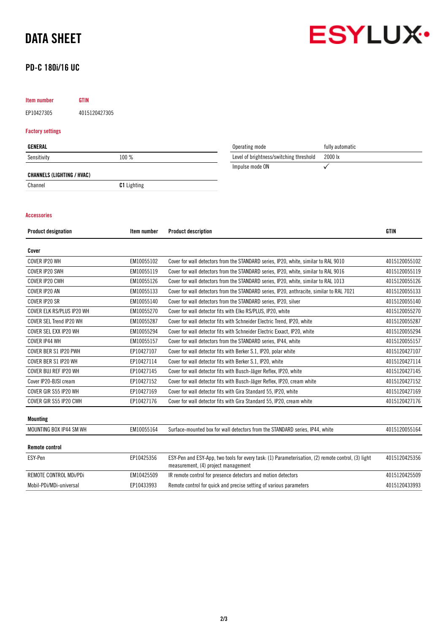# DATA SHEET



### PD-C 180i/16 UC

## Item number GTIN

EP10427305 4015120427305

### Factory settings

| GENERAL                    |                    | Operating mode                          | fully automatic |
|----------------------------|--------------------|-----------------------------------------|-----------------|
| Sensitivity                | 100 %              | Level of brightness/switching threshold | 2000 lx         |
|                            |                    | Impulse mode ON                         |                 |
| CHANNELS (LIGHTING / HVAC) |                    |                                         |                 |
| Channel                    | <b>C1</b> Lighting |                                         |                 |

### Accessories

| Item number | <b>Product description</b>                                                                                                                | <b>GTIN</b>   |
|-------------|-------------------------------------------------------------------------------------------------------------------------------------------|---------------|
|             |                                                                                                                                           |               |
| EM10055102  | Cover for wall detectors from the STANDARD series, IP20, white, similar to RAL 9010                                                       | 4015120055102 |
| EM10055119  | Cover for wall detectors from the STANDARD series, IP20, white, similar to RAL 9016                                                       | 4015120055119 |
| EM10055126  | Cover for wall detectors from the STANDARD series, IP20, white, similar to RAL 1013                                                       | 4015120055126 |
| EM10055133  | Cover for wall detectors from the STANDARD series, IP20, anthracite, similar to RAL 7021                                                  | 4015120055133 |
| EM10055140  | Cover for wall detectors from the STANDARD series, IP20, silver                                                                           | 4015120055140 |
| EM10055270  | Cover for wall detector fits with Elko RS/PLUS, IP20, white                                                                               | 4015120055270 |
| EM10055287  | Cover for wall detector fits with Schneider Electric Trend, IP20, white                                                                   | 4015120055287 |
| EM10055294  | Cover for wall detector fits with Schneider Electric Exxact, IP20, white                                                                  | 4015120055294 |
| EM10055157  | Cover for wall detectors from the STANDARD series, IP44, white                                                                            | 4015120055157 |
| EP10427107  | Cover for wall detector fits with Berker S.1, IP20, polar white                                                                           | 4015120427107 |
| EP10427114  | Cover for wall detector fits with Berker S.1, IP20, white                                                                                 | 4015120427114 |
| EP10427145  | Cover for wall detector fits with Busch-Jäger Reflex, IP20, white                                                                         | 4015120427145 |
| EP10427152  | Cover for wall detector fits with Busch-Jäger Reflex, IP20, cream white                                                                   | 4015120427152 |
| EP10427169  | Cover for wall detector fits with Gira Standard 55, IP20, white                                                                           | 4015120427169 |
| EP10427176  | Cover for wall detector fits with Gira Standard 55, IP20, cream white                                                                     | 4015120427176 |
|             |                                                                                                                                           |               |
| EM10055164  | Surface-mounted box for wall detectors from the STANDARD series, IP44, white                                                              | 4015120055164 |
|             |                                                                                                                                           |               |
| EP10425356  | ESY-Pen and ESY-App, two tools for every task: (1) Parameterisation, (2) remote control, (3) light<br>measurement, (4) project management | 4015120425356 |
| EM10425509  | IR remote control for presence detectors and motion detectors                                                                             | 4015120425509 |
| EP10433993  | Remote control for quick and precise setting of various parameters                                                                        | 4015120433993 |
|             |                                                                                                                                           |               |